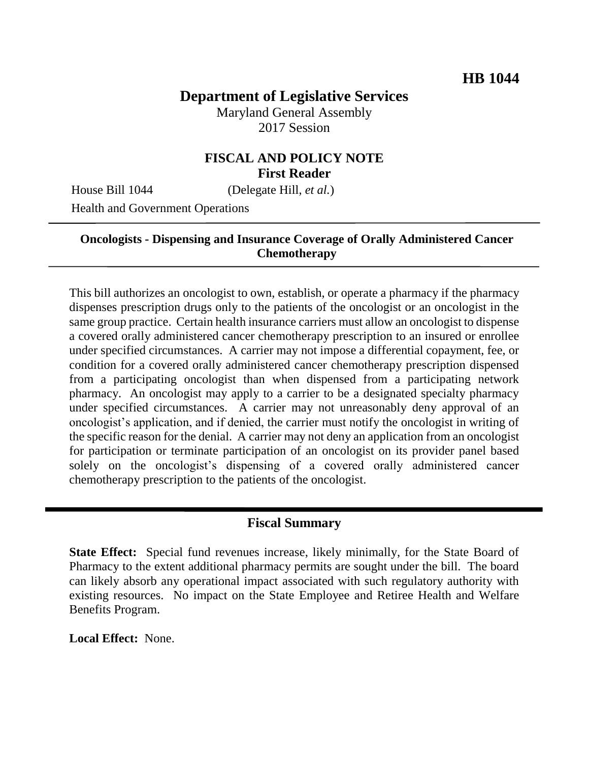# **Department of Legislative Services**

Maryland General Assembly 2017 Session

### **FISCAL AND POLICY NOTE First Reader**

House Bill 1044 (Delegate Hill, *et al.*)

Health and Government Operations

## **Oncologists - Dispensing and Insurance Coverage of Orally Administered Cancer Chemotherapy**

This bill authorizes an oncologist to own, establish, or operate a pharmacy if the pharmacy dispenses prescription drugs only to the patients of the oncologist or an oncologist in the same group practice. Certain health insurance carriers must allow an oncologist to dispense a covered orally administered cancer chemotherapy prescription to an insured or enrollee under specified circumstances. A carrier may not impose a differential copayment, fee, or condition for a covered orally administered cancer chemotherapy prescription dispensed from a participating oncologist than when dispensed from a participating network pharmacy. An oncologist may apply to a carrier to be a designated specialty pharmacy under specified circumstances. A carrier may not unreasonably deny approval of an oncologist's application, and if denied, the carrier must notify the oncologist in writing of the specific reason for the denial. A carrier may not deny an application from an oncologist for participation or terminate participation of an oncologist on its provider panel based solely on the oncologist's dispensing of a covered orally administered cancer chemotherapy prescription to the patients of the oncologist.

#### **Fiscal Summary**

**State Effect:** Special fund revenues increase, likely minimally, for the State Board of Pharmacy to the extent additional pharmacy permits are sought under the bill. The board can likely absorb any operational impact associated with such regulatory authority with existing resources. No impact on the State Employee and Retiree Health and Welfare Benefits Program.

**Local Effect:** None.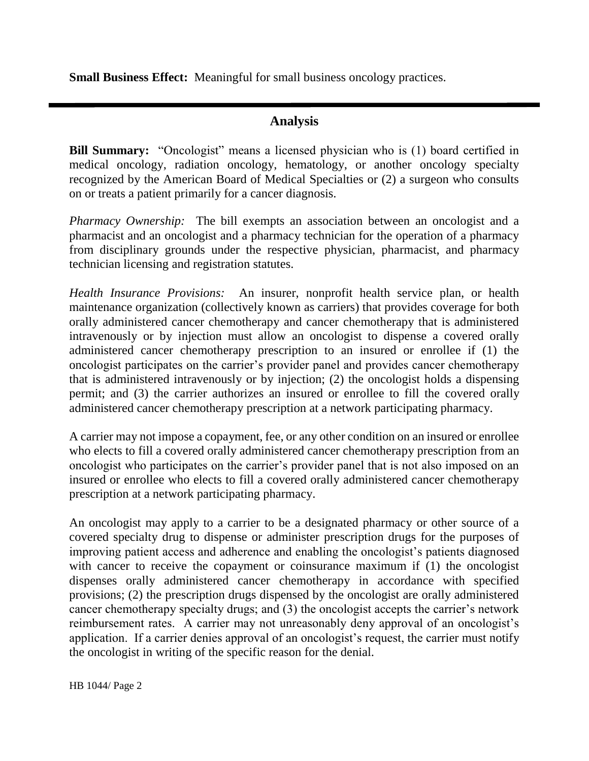**Small Business Effect:** Meaningful for small business oncology practices.

## **Analysis**

**Bill Summary:** "Oncologist" means a licensed physician who is (1) board certified in medical oncology, radiation oncology, hematology, or another oncology specialty recognized by the American Board of Medical Specialties or (2) a surgeon who consults on or treats a patient primarily for a cancer diagnosis.

*Pharmacy Ownership:* The bill exempts an association between an oncologist and a pharmacist and an oncologist and a pharmacy technician for the operation of a pharmacy from disciplinary grounds under the respective physician, pharmacist, and pharmacy technician licensing and registration statutes.

*Health Insurance Provisions:* An insurer, nonprofit health service plan, or health maintenance organization (collectively known as carriers) that provides coverage for both orally administered cancer chemotherapy and cancer chemotherapy that is administered intravenously or by injection must allow an oncologist to dispense a covered orally administered cancer chemotherapy prescription to an insured or enrollee if (1) the oncologist participates on the carrier's provider panel and provides cancer chemotherapy that is administered intravenously or by injection; (2) the oncologist holds a dispensing permit; and (3) the carrier authorizes an insured or enrollee to fill the covered orally administered cancer chemotherapy prescription at a network participating pharmacy.

A carrier may not impose a copayment, fee, or any other condition on an insured or enrollee who elects to fill a covered orally administered cancer chemotherapy prescription from an oncologist who participates on the carrier's provider panel that is not also imposed on an insured or enrollee who elects to fill a covered orally administered cancer chemotherapy prescription at a network participating pharmacy.

An oncologist may apply to a carrier to be a designated pharmacy or other source of a covered specialty drug to dispense or administer prescription drugs for the purposes of improving patient access and adherence and enabling the oncologist's patients diagnosed with cancer to receive the copayment or coinsurance maximum if (1) the oncologist dispenses orally administered cancer chemotherapy in accordance with specified provisions; (2) the prescription drugs dispensed by the oncologist are orally administered cancer chemotherapy specialty drugs; and (3) the oncologist accepts the carrier's network reimbursement rates. A carrier may not unreasonably deny approval of an oncologist's application. If a carrier denies approval of an oncologist's request, the carrier must notify the oncologist in writing of the specific reason for the denial.

HB 1044/ Page 2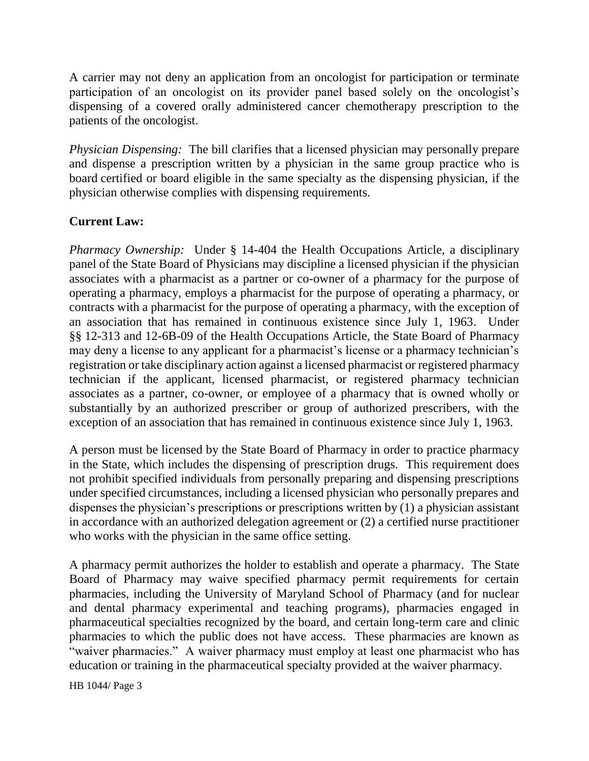A carrier may not deny an application from an oncologist for participation or terminate participation of an oncologist on its provider panel based solely on the oncologist's dispensing of a covered orally administered cancer chemotherapy prescription to the patients of the oncologist.

*Physician Dispensing:* The bill clarifies that a licensed physician may personally prepare and dispense a prescription written by a physician in the same group practice who is board certified or board eligible in the same specialty as the dispensing physician, if the physician otherwise complies with dispensing requirements.

## **Current Law:**

*Pharmacy Ownership:* Under § 14-404 the Health Occupations Article, a disciplinary panel of the State Board of Physicians may discipline a licensed physician if the physician associates with a pharmacist as a partner or co-owner of a pharmacy for the purpose of operating a pharmacy, employs a pharmacist for the purpose of operating a pharmacy, or contracts with a pharmacist for the purpose of operating a pharmacy, with the exception of an association that has remained in continuous existence since July 1, 1963. Under §§ 12-313 and 12-6B-09 of the Health Occupations Article, the State Board of Pharmacy may deny a license to any applicant for a pharmacist's license or a pharmacy technician's registration or take disciplinary action against a licensed pharmacist or registered pharmacy technician if the applicant, licensed pharmacist, or registered pharmacy technician associates as a partner, co-owner, or employee of a pharmacy that is owned wholly or substantially by an authorized prescriber or group of authorized prescribers, with the exception of an association that has remained in continuous existence since July 1, 1963.

A person must be licensed by the State Board of Pharmacy in order to practice pharmacy in the State, which includes the dispensing of prescription drugs. This requirement does not prohibit specified individuals from personally preparing and dispensing prescriptions under specified circumstances, including a licensed physician who personally prepares and dispenses the physician's prescriptions or prescriptions written by (1) a physician assistant in accordance with an authorized delegation agreement or (2) a certified nurse practitioner who works with the physician in the same office setting.

A pharmacy permit authorizes the holder to establish and operate a pharmacy. The State Board of Pharmacy may waive specified pharmacy permit requirements for certain pharmacies, including the University of Maryland School of Pharmacy (and for nuclear and dental pharmacy experimental and teaching programs), pharmacies engaged in pharmaceutical specialties recognized by the board, and certain long-term care and clinic pharmacies to which the public does not have access. These pharmacies are known as "waiver pharmacies." A waiver pharmacy must employ at least one pharmacist who has education or training in the pharmaceutical specialty provided at the waiver pharmacy.

HB 1044/ Page 3